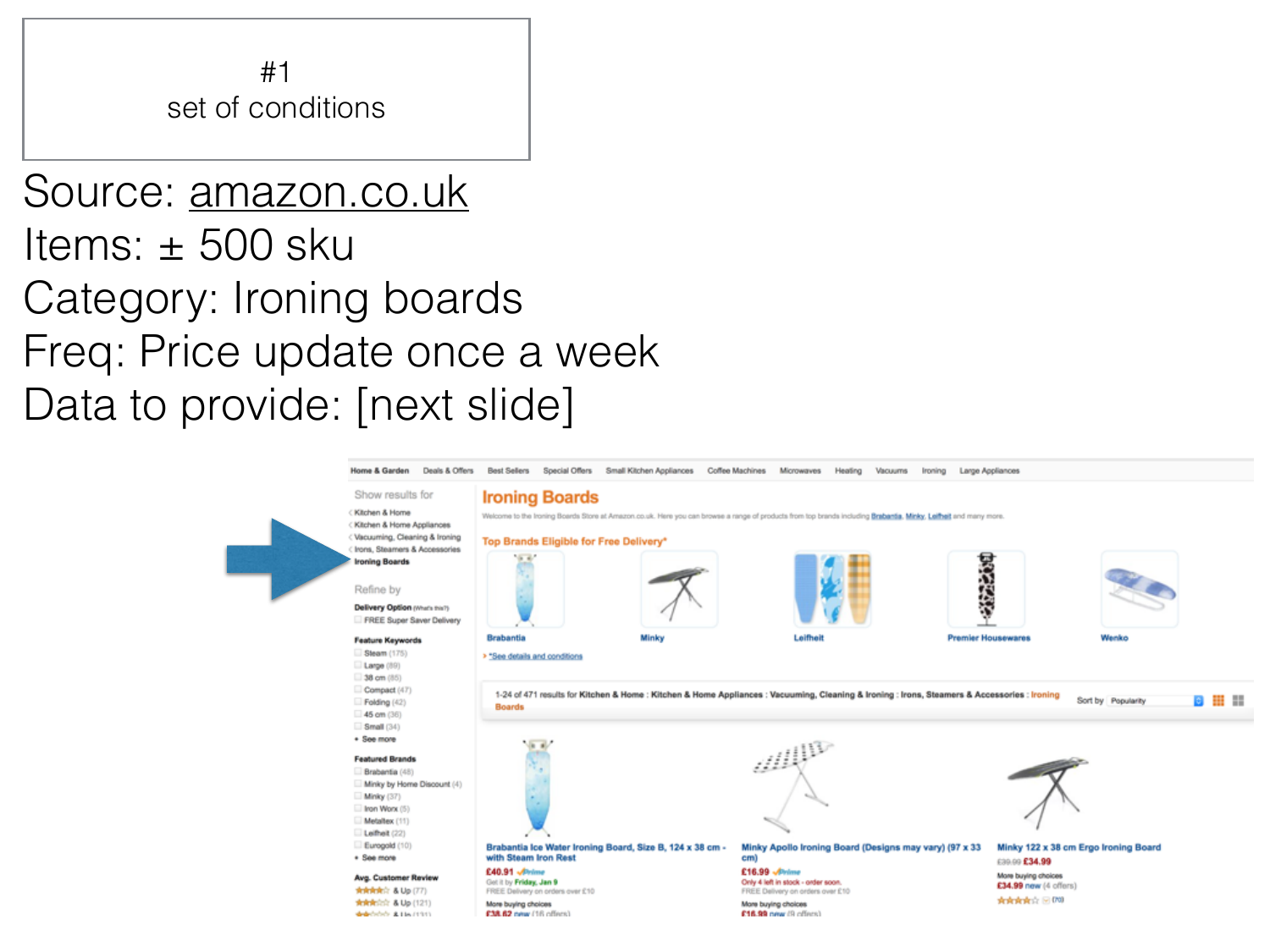

#### Source: [amazon.co.uk](http://amazon.co.uk) Items: ± 500 sku Category: Ironing boards Freq: Price update once a week Data to provide: [next slide]

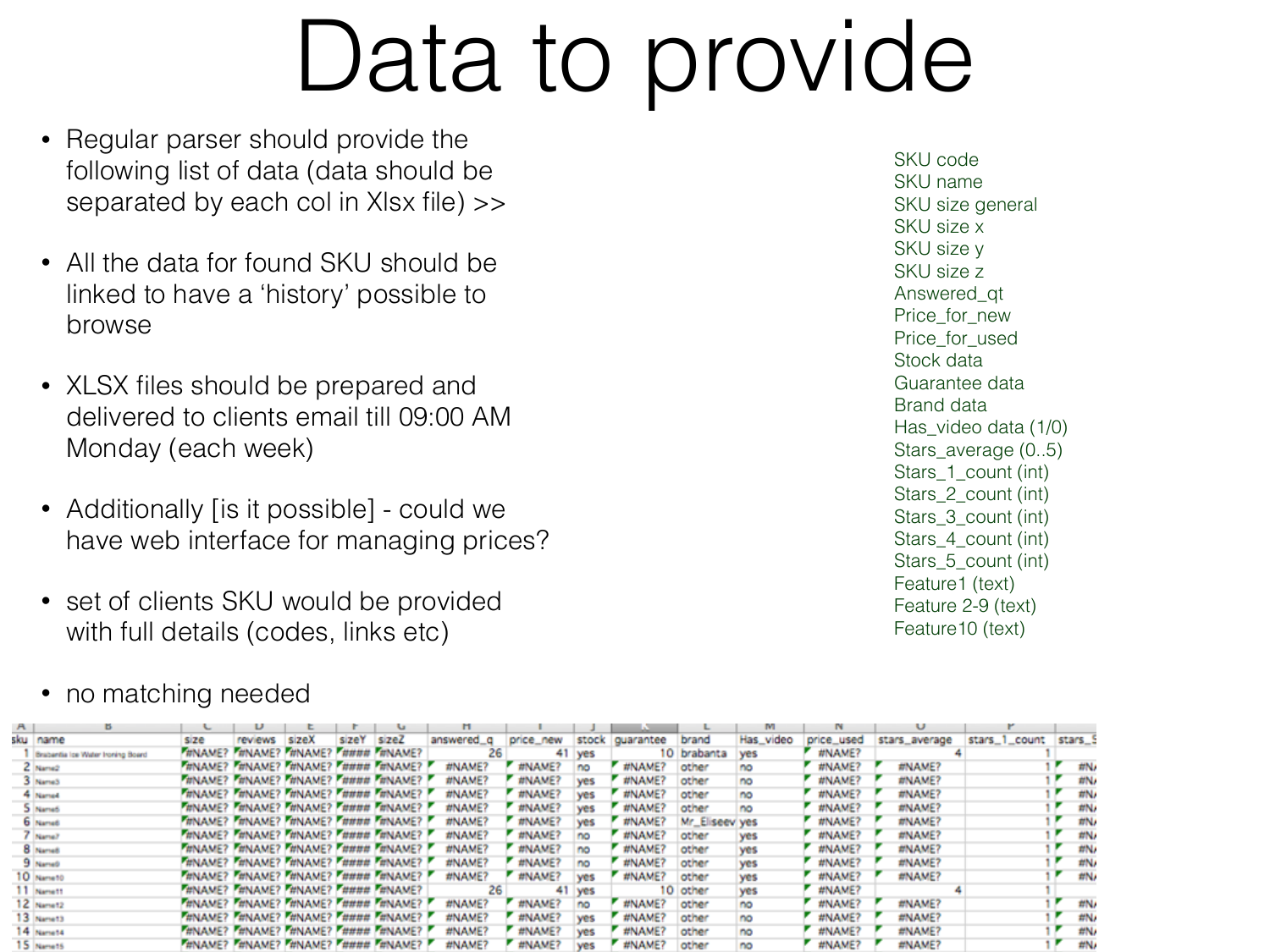## Data to provide

- Regular parser should provide the following list of data (data should be separated by each col in Xlsx file) >>
- All the data for found SKU should be linked to have a 'history' possible to browse
- XLSX files should be prepared and delivered to clients email till 09:00 AM Monday (each week)
- Additionally [is it possible] could we have web interface for managing prices?
- set of clients SKU would be provided with full details (codes, links etc)

SKU name SKU size general SKU size x SKU size y SKU size z Answered\_qt Price\_for\_new Price for used Stock data Guarantee data Brand data Has\_video data (1/0) Stars\_average (0..5) Stars\_1\_count (int) Stars\_2\_count (int) Stars 3 count (int) Stars 4 count (int) Stars\_5\_count (int)

SKU code

Feature1 (text) Feature 2-9 (text) Feature10 (text)

• no matching needed

| $\mathsf{A}$ |                                   |      |                                         |       |       |                                         |            |           |            |           |                |            |            |               |               |         |  |
|--------------|-----------------------------------|------|-----------------------------------------|-------|-------|-----------------------------------------|------------|-----------|------------|-----------|----------------|------------|------------|---------------|---------------|---------|--|
|              | sku name                          | size | reviews                                 | sizeX | sizeY | size                                    | answered_g | price_new | stock      | guarantee | brand          | Has_video  | price_used | stars_average | stars_1_count | stars_9 |  |
|              | Brabantia los Water Ironing Board |      | TINAME? TINAME? TINAME? TIIIIII TINAME? |       |       |                                         |            | 41        | <b>yes</b> |           | 10 brabanta    | <b>yes</b> | #NAME?     |               |               |         |  |
|              | Z Name2                           |      |                                         |       |       | WINAME? WINAME? WINAME? WWWW WINAME?    | #NAME?     | #NAME?    | no         | #NAME?    | other          | no         | #NAME?     | #NAME?        |               | #N/     |  |
|              | 3 NameS                           |      |                                         |       |       | TINAME? TINAME? TINAME? TIIIIII TINAME? | #NAME?     | #NAME?    | ves        | #NAME?    | other          | no         | #NAME?     | #NAME?        |               | #N/     |  |
|              | <sup>4</sup> Name4                |      |                                         |       |       | WINAME? WINAME? WINAME? WWWW WINAME?    | #NAME?     | #NAME?    | <b>yes</b> | #NAME?    | other          | no         | #NAME?     | #NAME?        |               | #N/     |  |
|              | 5 Name5                           |      |                                         |       |       | WINAME? WINAME? WINAME? WWWW WINAME?    | #NAME?     | #NAME?    | ves        | #NAME?    | other          | no         | #NAME?     | #NAME?        |               | #N      |  |
|              | 6 NameS                           |      |                                         |       |       | WINAME? WINAME? WINAME? WWWW FUNAME?    | #NAME?     | #NAME?    | <b>yes</b> | #NAME?    | Mr_Eliseev yes |            | #NAME?     | #NAME?        |               | #N/     |  |
|              | Name?                             |      |                                         |       |       | WINAME? WINAME? WINAME? WWWW WINAME?    | #NAME?     | #NAME?    | no         | #NAME?    | other          | ves        | #NAME?     | #NAME?        |               | #N/     |  |
|              | 8 Namet                           |      |                                         |       |       | WINAME? WINAME? WINAME? WWWW WINAME?    | #NAME?     | #NAME?    | no         | #NAME?    | other          | <b>yes</b> | #NAME?     | #NAME?        |               | #N/     |  |
|              | 9 NameD                           |      |                                         |       |       | WINAME? WINAME? WINAME? F#### F#NAME? ! | #NAME?     | #NAME?    | no         | #NAME?    | other          | <b>yes</b> | #NAME?     | #NAME?        |               | #N/     |  |
|              | 10 Nameto                         |      |                                         |       |       | WINAME? WINAME? WINAME? F#### F#NAME? ! | #NAME?     | #NAME?    | ves        | #NAME?    | other          | <b>yes</b> | #NAME?     | #NAME?        |               | #N/     |  |
|              | 11 Namett                         |      | WINAME? F#NAME? F#NAME? F#### F#NAME?   |       |       |                                         | 26         |           | 41 yes     |           | 10 other       | <b>yes</b> | #NAME?     |               |               |         |  |
|              | 12 Namet2                         |      |                                         |       |       | WINAME? WINAME? WINAME? WINDH WINAME?   | #NAME?     | #NAME?    | no         | #NAME?    | other          | no         | #NAME?     | #NAME?        |               | #N/     |  |
|              | 13 Namet3                         |      |                                         |       |       | WINAME? WINAME? WINAME? F#### F#NAME? ! | #NAME?     | #NAME?    | ves        | #NAME?    | other          | no         | #NAME?     | #NAME?        |               | #N/     |  |
|              | 14 Namet4                         |      |                                         |       |       | HNAME? HNAME? HNAME? H### HNAME?        | #NAME?     | #NAME?    | ves        | #NAME?    | other          | no         | #NAME?     | #NAME?        |               | #N/     |  |
|              | 15 Namet6                         |      |                                         |       |       | WINAME? WINAME? WINAME? WWW. WINAME?    | #NAME?     | #NAME?    |            | #NAME?    | other          | no         | #NAME?     | #NAME?        |               | #N/     |  |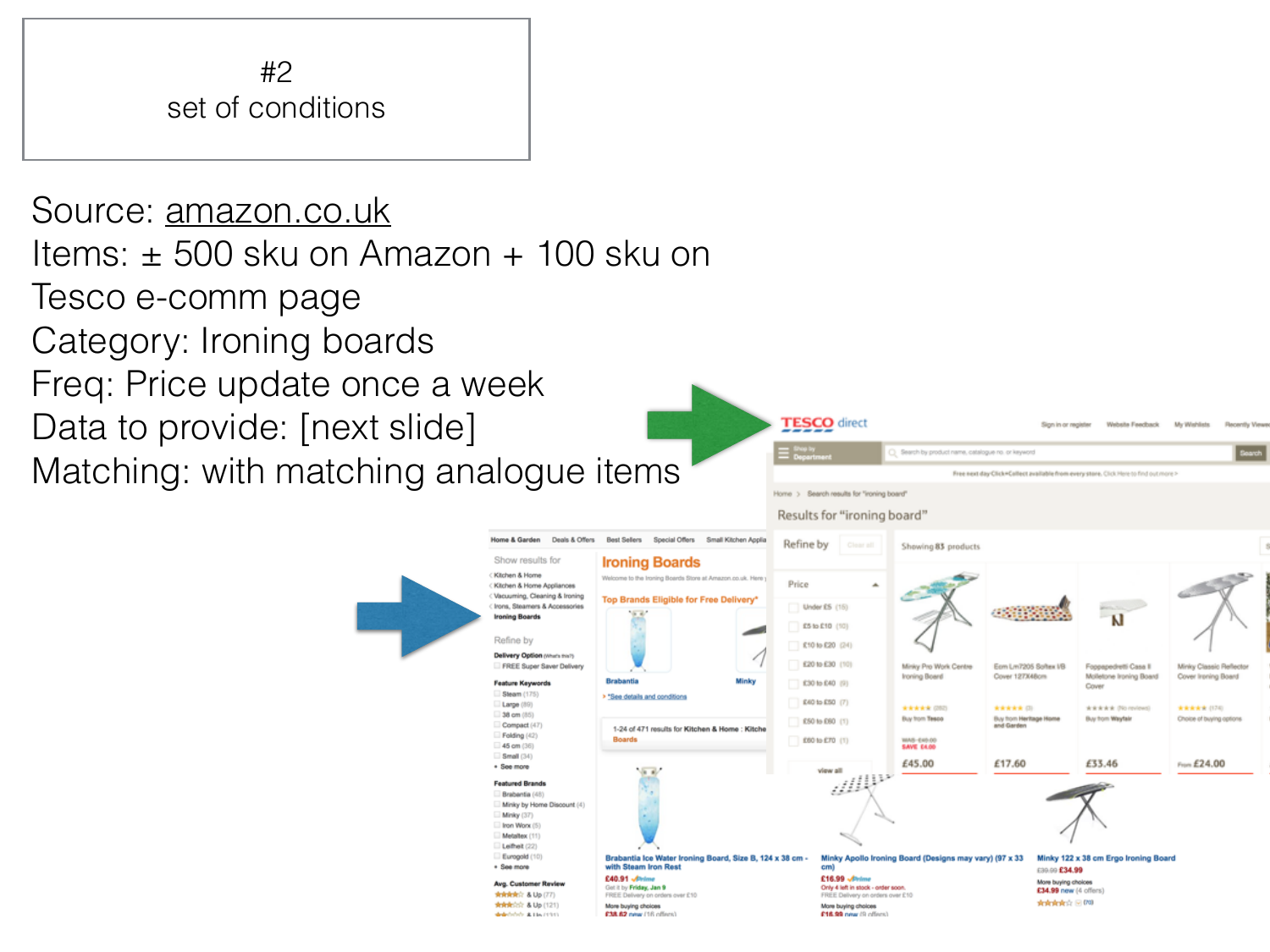

Source: [amazon.co.uk](http://amazon.co.uk) Items: ± 500 sku on Amazon + 100 sku on Tesco e-comm page Category: Ironing boards Freq: Price update once a week Data to provide: [next slide] Matching: with matching analogue items

![](_page_2_Figure_2.jpeg)

**TESCO** direct

Search by product name, catalogue no. or lawyers

Website Faechack

My Wehlete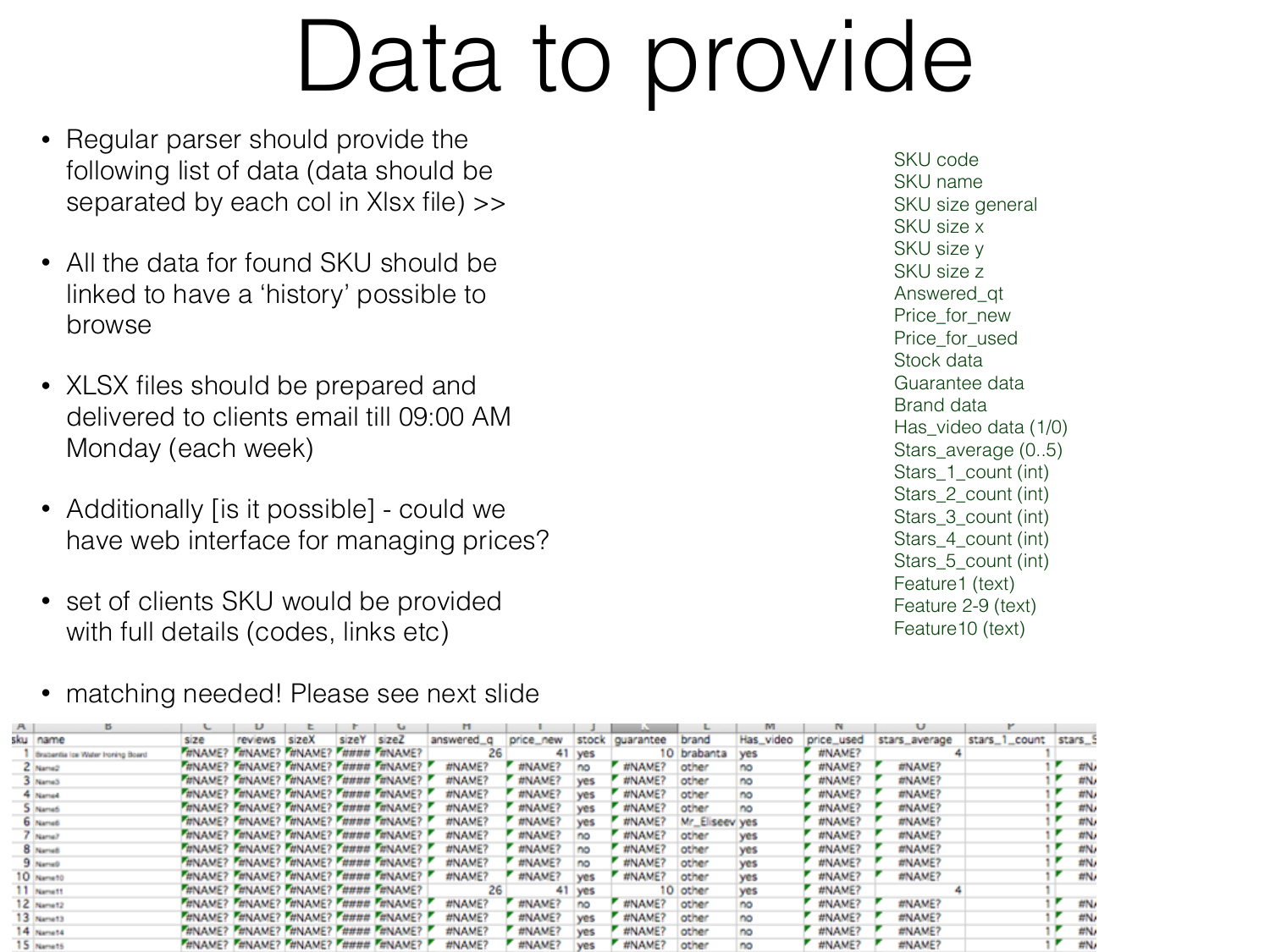## Data to provide

- Regular parser should provide the following list of data (data should be separated by each col in Xlsx file) >>
- All the data for found SKU should be linked to have a 'history' possible to browse
- XLSX files should be prepared and delivered to clients email till 09:00 AM Monday (each week)
- Additionally [is it possible] could we have web interface for managing prices?
- set of clients SKU would be provided with full details (codes, links etc)
- matching needed! Please see next slide

SKU code SKU name SKU size general SKU size x SKU size y SKU size z Answered\_qt Price\_for\_new Price for used Stock data Guarantee data Brand data Has\_video data (1/0) Stars\_average (0..5) Stars\_1\_count (int) Stars\_2\_count (int) Stars\_3\_count (int) Stars\_4\_count (int) Stars\_5\_count (int) Feature1 (text) Feature 2-9 (text) Feature10 (text)

| $\mathbf{A}$ |                                   |      |         |                                             |       |                                                |                |                |            |                 |                | м          |                 |                 |               |         |
|--------------|-----------------------------------|------|---------|---------------------------------------------|-------|------------------------------------------------|----------------|----------------|------------|-----------------|----------------|------------|-----------------|-----------------|---------------|---------|
|              | sku name                          | size | reviews | sizeX                                       | sizeY | size                                           | answered_g     | price_new      |            | stock guarantee | brand          | Has_video  | price_used      | stars_average   | stars_1_count | stars_9 |
|              | Brabantia los Water Ironing Board |      |         | THNAME? THNAME? THNAME? THHHH THNAME?       |       |                                                | 26             | 41             | yes        |                 | 10 brabanta    | <b>yes</b> | #NAME?          |                 |               |         |
|              | Z Name2                           |      |         |                                             |       | TUNAME? TUNAME? TUNAME? TUUU TUNAME?           | #NAME?         | #NAME?         | no         | #NAME?          | other          |            | #NAME?          | #NAME?          |               | #N/     |
|              | 3 NameS                           |      |         |                                             |       | WINAME? WNAME? WNAME? WWWW WNAME?              | #NAME?         | #NAME?         | yes        | #NAME?          | other          |            | #NAME?          | #NAME?          |               | #N/     |
|              | <sup>4</sup> Named                |      |         |                                             |       | TUNAME? TUNAME? TUNAME? TUUTU TUNAME?          | #NAME?         | #NAME?         | <b>yes</b> | #NAME?          | other          | no         | #NAME?          | #NAME?          |               | #N/     |
|              | 5 Name5                           |      |         |                                             |       | <b>FUNAME? FUNAME? FUNAME? FUUUU FUNAME? P</b> | #NAME?         | #NAME?         | ves        | #NAME?          | other          | no         | #NAME?          | #NAME?          |               | #N/     |
|              | 6 NameS                           |      |         |                                             |       | WINAME? WINAME? WINAME? WWWW WINAME?           | #NAME?         | #NAME?         | <b>yes</b> | #NAME?          | Mr_Eliseev yes |            | #NAME?          | #NAME?          |               | #N/     |
|              | Name?                             |      |         |                                             |       | TUNAME? TUNAME? TUNAME? TUUUU TUNAME? !        | #NAME?         | #NAME?         | no         | #NAME?          | other          | ves        | #NAME?          | #NAME?          |               | #N/     |
|              | 8 Namet                           |      |         |                                             |       | WINAME? WINAME? WINAME? WWWW WINAME?           | #NAME?         | #NAME?         | no         | #NAME?          | other          | ves        | #NAME?          | #NAME?          |               | #N/     |
|              | 9 NameD                           |      |         |                                             |       | FUNAME? FUNAME? FUNAME? FUUUU FUNAME? F        | #NAME?         | #NAME?         | no         | #NAME?          | other          | ves        | #NAME?          | #NAME?          |               | #N/     |
|              | 10 Nameto                         |      |         |                                             |       | FUNAME? FUNAME? FUNAME? FUUU FUNAME? P         | #NAME?         | #NAME?         | <b>ves</b> | #NAME?          | other          | ves        | #NAME?          | #NAME?          |               | #N/     |
|              | 11 Namett                         |      |         | <b>HINAME?</b> FUNAME? FUNAME? FUUU FUNAME? |       |                                                | 26             | 41             | <b>yes</b> |                 | 10 other       | ves        | #NAME?          |                 |               |         |
|              | 12 Namet2                         |      |         |                                             |       | WINAME? WINAME? WINAME? WINDH WINAME?          | #NAME?         | #NAME?         | no         | #NAME?          | other          | no         | #NAME?          | #NAME?          |               | #N/     |
|              | 13 Namet3                         |      |         |                                             |       | WINAME? WINAME? WINAME? F#### F#NAME? !        | #NAME?         | #NAME?         | <b>yes</b> | #NAME?          | other          | no         | #NAME?          | #NAME?          |               | #N/     |
|              | 14 Namet4                         |      |         |                                             |       | <b>FUNAME?</b> FUNAME? FUNAME? FUNDU FUNAME?   | #NAME?         | #NAME?         | <b>ves</b> | #NAME?          | other          | no         | #NAME?          | #NAME?          |               | #N/     |
|              | $\mathbf{1}$ E. $\mathbf{1}$      |      |         |                                             |       | FUNIANCE FUNIANCE FUNIANCE FUNDUL FUNIANCE F   | <b>WALAMED</b> | <b>WALANES</b> |            | <b>WALANED</b>  | ممطعما         |            | <b>WALA MED</b> | <b>WALALIC?</b> |               | date.   |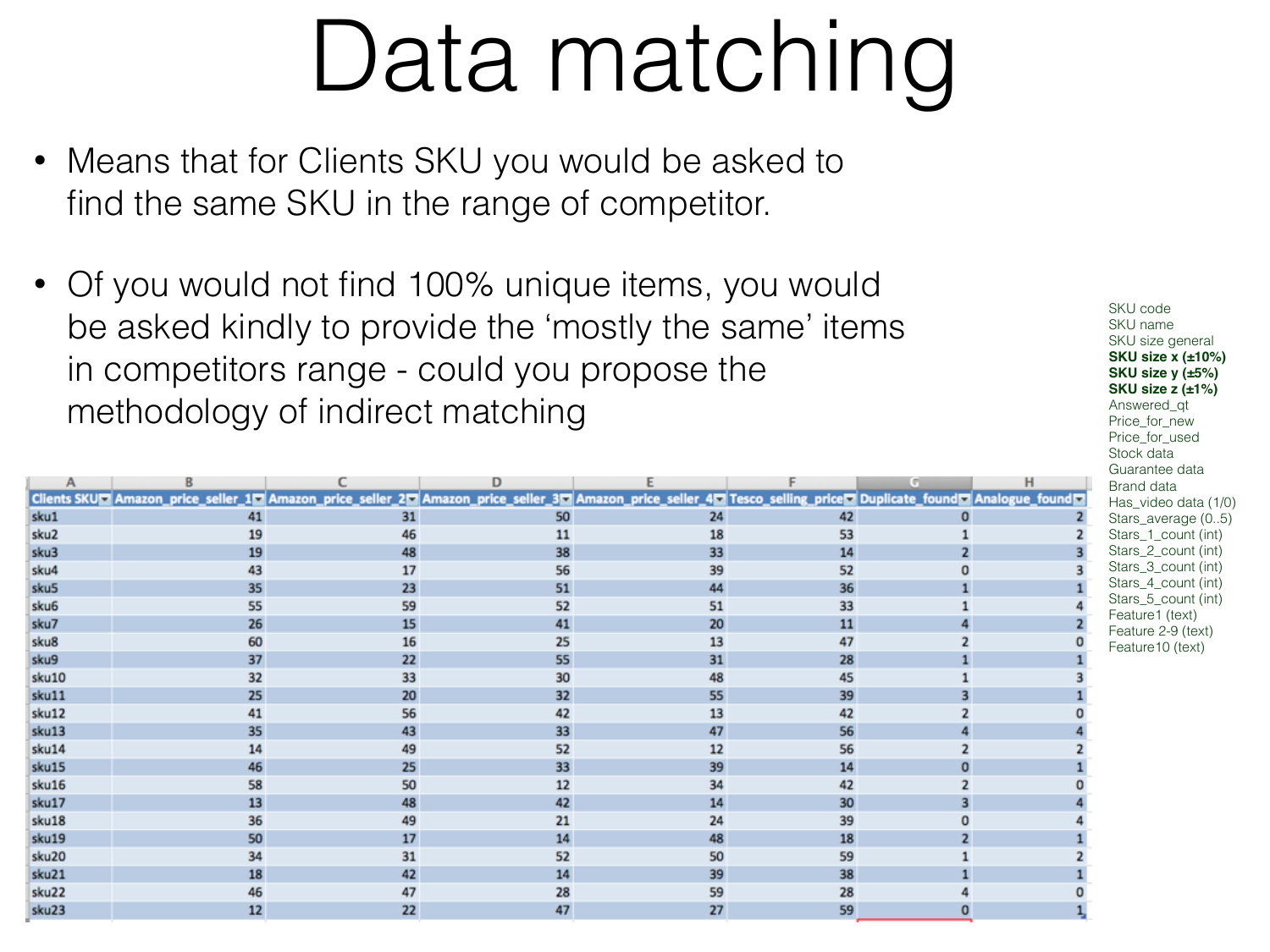# Data matching

- Means that for Clients SKU you would be asked to find the same SKU in the range of competitor.
- Of you would not find 100% unique items, you would be asked kindly to provide the 'mostly the same' items in competitors range - could you propose the methodology of indirect matching

|                  |                                                                                                                                                                |    | D  |    |    | c. | н |
|------------------|----------------------------------------------------------------------------------------------------------------------------------------------------------------|----|----|----|----|----|---|
|                  | Clients SKUD Amazon_price_seller_1D Amazon_price_seller_2D Amazon_price_seller_3D Amazon_price_seller_4D Tesco_selling_priceD Duplicate_foundD Analogue_foundD |    |    |    |    |    |   |
| sku1             | 41                                                                                                                                                             | 31 | 50 | 24 | 42 |    |   |
| sku2             | 19                                                                                                                                                             | 46 | 11 | 18 | 53 |    |   |
| sku3             | 19                                                                                                                                                             | 48 | 38 | 33 | 14 |    |   |
| sku4             | 43                                                                                                                                                             | 17 | 56 | 39 | 52 |    |   |
| sku5             | 35                                                                                                                                                             | 23 | 51 | 44 | 36 |    |   |
| sku <sub>6</sub> | 55                                                                                                                                                             | 59 | 52 | 51 | 33 |    |   |
| sku7             | 26                                                                                                                                                             | 15 | 41 | 20 | 11 |    |   |
| sku8             | 60                                                                                                                                                             | 16 | 25 | 13 | 47 |    |   |
| sku9             | 37                                                                                                                                                             | 22 | 55 | 31 | 28 |    |   |
| sku10            | 32                                                                                                                                                             | 33 | 30 | 48 | 45 |    |   |
| sku11            | 25                                                                                                                                                             | 20 | 32 | 55 | 39 |    |   |
| sku12            | 41                                                                                                                                                             | 56 | 42 | 13 | 42 |    |   |
| sku13            | 35                                                                                                                                                             | 43 | 33 | 47 | 56 |    |   |
| sku14            | 14                                                                                                                                                             | 49 | 52 | 12 | 56 |    |   |
| sku15            | 46                                                                                                                                                             | 25 | 33 | 39 | 14 |    |   |
| sku16            | 58                                                                                                                                                             | 50 | 12 | 34 | 42 |    |   |
| sku17            | 13                                                                                                                                                             | 48 | 42 | 14 | 30 |    |   |
| sku18            | 36                                                                                                                                                             | 49 | 21 | 24 | 39 |    |   |
| sku19            | 50                                                                                                                                                             | 17 | 14 | 48 | 18 |    |   |
| sku20            | 34                                                                                                                                                             | 31 | 52 | 50 | 59 |    |   |
| sku21            | 18                                                                                                                                                             | 42 | 14 | 39 | 38 |    |   |
| sku22            | 46                                                                                                                                                             | 47 | 28 | 59 | 28 |    |   |
| sku23            | 12                                                                                                                                                             | 22 | 47 | 27 | 59 |    |   |

SKU code SKU name SKU size general **SKU size x (±10%) SKU size y (±5%) SKU size z (±1%)** Answered\_qt Price for new Price for used Stock data Guarantee data Brand data Has\_video data (1/0) Stars\_average (0..5) Stars 1 count (int) Stars\_2\_count (int) Stars\_3\_count (int) Stars 4 count (int) Stars\_5\_count (int) Feature1 (text) Feature 2-9 (text) Feature10 (text)